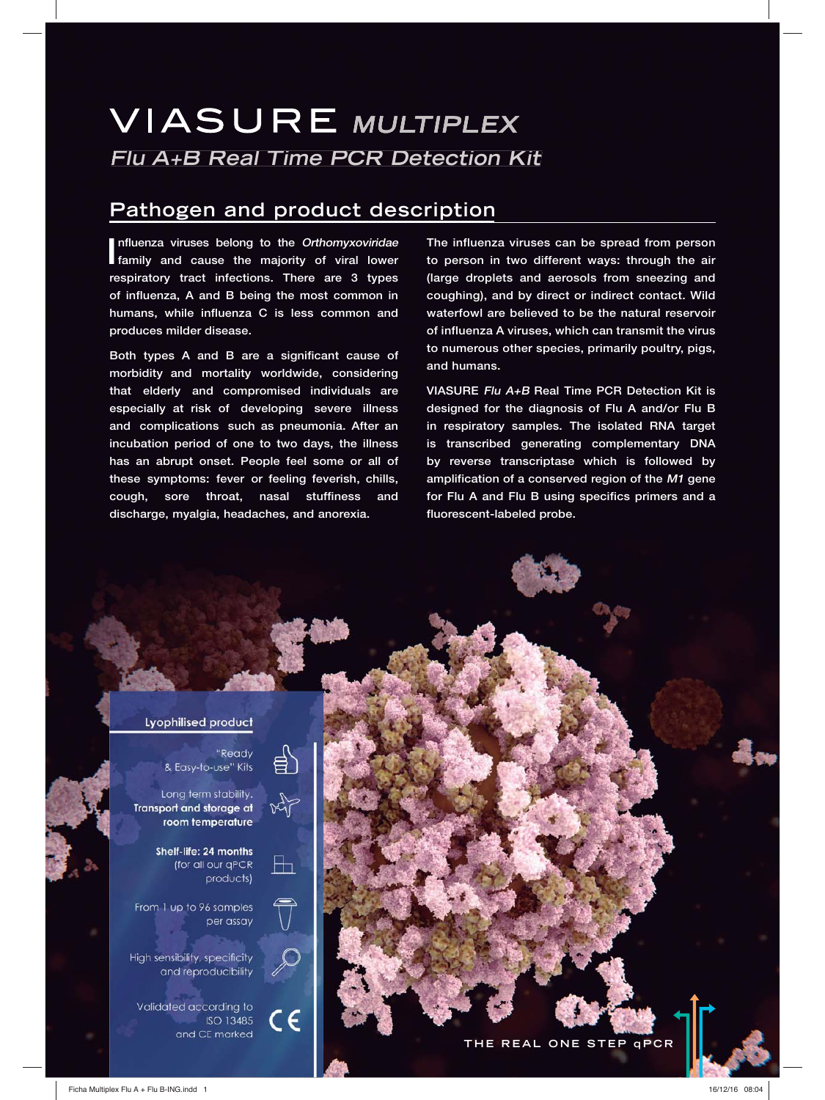# **VIASURE MULTIPLEX Flu A+B Real Time PCR Detection Kit**

## **Pathogen and product description**

Influenza viruses belong to the Orthomyxoviridae<br>
family and cause the majority of viral lower **nfluenza viruses belong to the Orthomyxoviridae respiratory tract infections. There are 3 types of influenza, A and B being the most common in humans, while influenza C is less common and produces milder disease.** 

Both types A and B are a significant cause of **morbidity and mortality worldwide, considering that elderly and compromised individuals are especially at risk of developing severe illness and complications such as pneumonia. After an incubation period of one to two days, the illness has an abrupt onset. People feel some or all of these symptoms: fever or feeling feverish, chills, cough, sore throat, nasal stuffiness and discharge, myalgia, headaches, and anorexia.** 

**The influenza viruses can be spread from person to person in two different ways: through the air (large droplets and aerosols from sneezing and coughing), and by direct or indirect contact. Wild waterfowl are believed to be the natural reservoir of influenza A viruses, which can transmit the virus to numerous other species, primarily poultry, pigs, and humans.** 

**VIASURE Flu A+B Real Time PCR Detection Kit is designed for the diagnosis of Flu A and/or Flu B in respiratory samples. The isolated RNA target is transcribed generating complementary DNA by reverse transcriptase which is followed by amplification of a conserved region of the M1 gene for Flu A and Flu B using specifics primers and a fluorescent-labeled probe.**